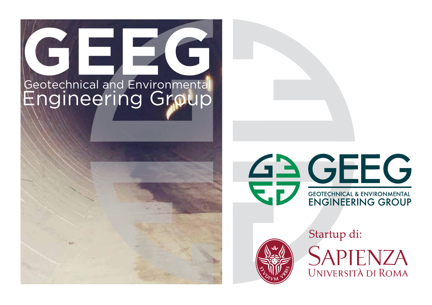





Startup di: SAPIENZA UNIVERSITÀ DI ROMA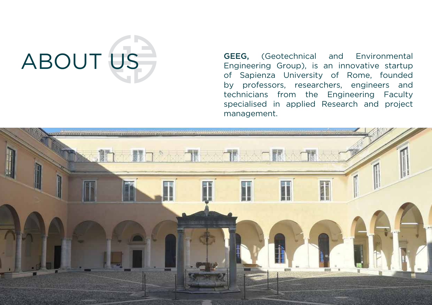# ABOUT US

GEEG, (Geotechnical and Environmental Engineering Group), is an innovative startup of Sapienza University of Rome, founded by professors, researchers, engineers and technicians from the Engineering Faculty specialised in applied Research and project management.

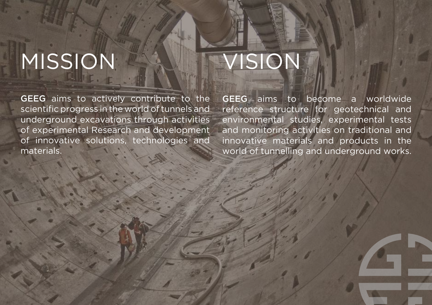### MISSION

GEEG aims to actively contribute to the scientific progress in the world of tunnels and underground excavations through activities of experimental Research and development of innovative solutions, technologies and materials.

### VISION

GEEG aims to become a worldwide reference structure for geotechnical and environmental studies, experimental tests and monitoring activities on traditional and innovative materials and products in the world of tunnelling and underground works.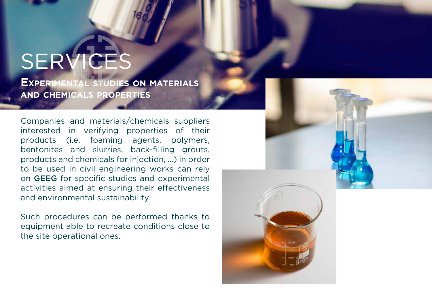### **SERVIC**

**Experimental studies on materials and chemicals properties**

Companies and materials/chemicals suppliers interested in verifying properties of their products (i.e. foaming agents, polymers, bentonites and slurries, back-filling grouts, products and chemicals for injection, …) in order to be used in civil engineering works can rely on GEEG for specific studies and experimental activities aimed at ensuring their effectiveness and environmental sustainability.

Such procedures can be performed thanks to equipment able to recreate conditions close to the site operational ones.

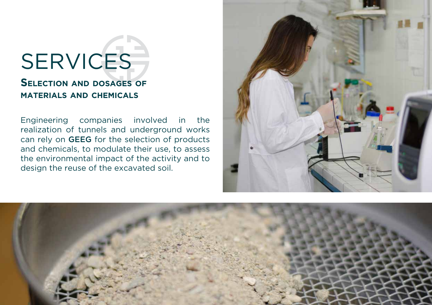#### **Selection and dosages of materials and chemicals**

Engineering companies involved in the realization of tunnels and underground works can rely on GEEG for the selection of products and chemicals, to modulate their use, to assess the environmental impact of the activity and to design the reuse of the excavated soil.



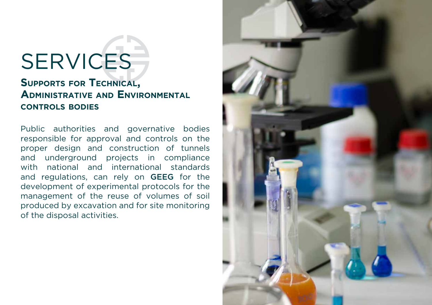#### **Supports for Technical, Administrative and Environmental controls bodies**

Public authorities and governative bodies responsible for approval and controls on the proper design and construction of tunnels and underground projects in compliance with national and international standards and regulations, can rely on GEEG for the development of experimental protocols for the management of the reuse of volumes of soil produced by excavation and for site monitoring of the disposal activities.

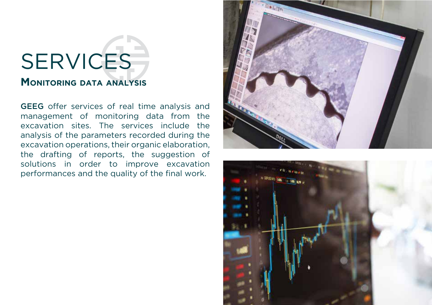#### **Monitoring data analysis**

GEEG offer services of real time analysis and management of monitoring data from the excavation sites. The services include the analysis of the parameters recorded during the excavation operations, their organic elaboration, the drafting of reports, the suggestion of solutions in order to improve excavation performances and the quality of the final work.



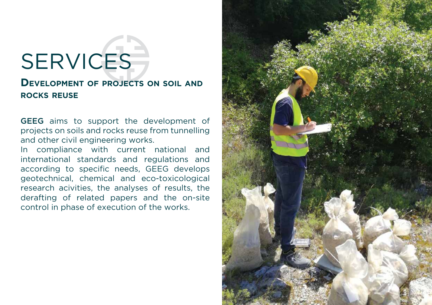#### **Development of projects on soil and rocks reuse**

GEEG aims to support the development of projects on soils and rocks reuse from tunnelling and other civil engineering works.

In compliance with current national and international standards and regulations and according to specific needs, GEEG develops geotechnical, chemical and eco-toxicological research acivities, the analyses of results, the derafting of related papers and the on-site control in phase of execution of the works.